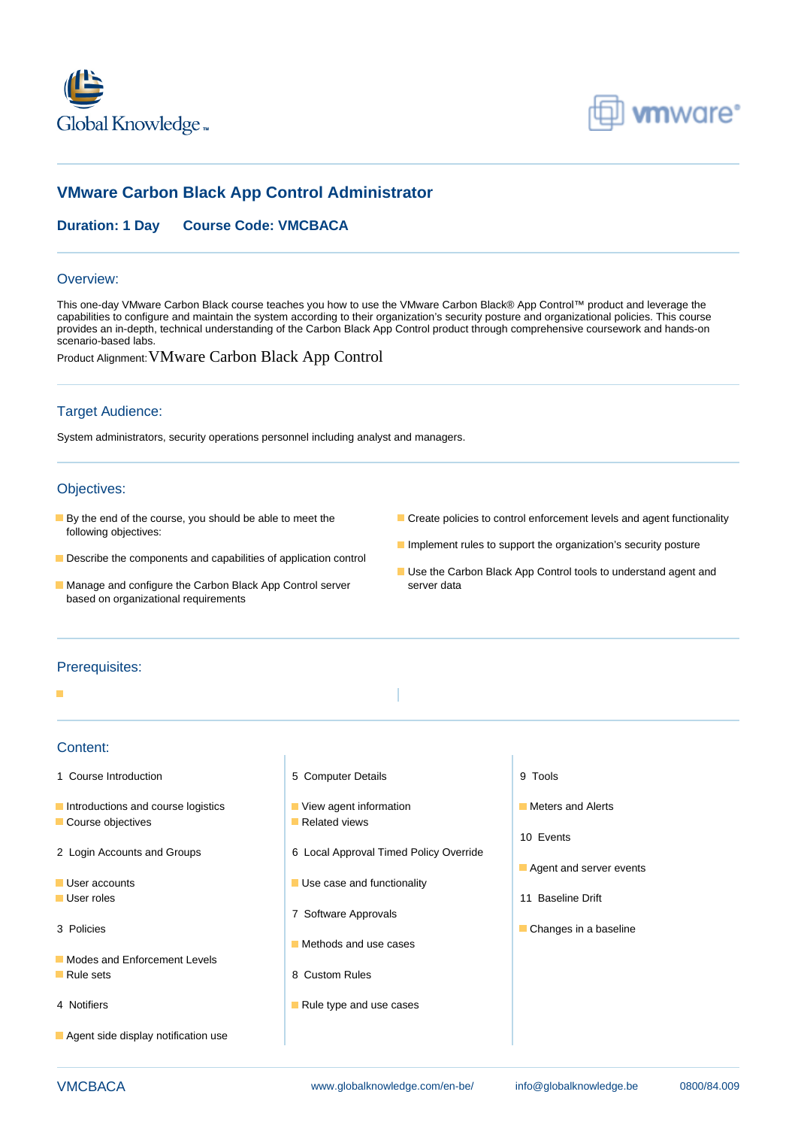



# **VMware Carbon Black App Control Administrator**

## **Duration: 1 Day Course Code: VMCBACA**

#### Overview:

This one-day VMware Carbon Black course teaches you how to use the VMware Carbon Black® App Control™ product and leverage the capabilities to configure and maintain the system according to their organization's security posture and organizational policies. This course provides an in-depth, technical understanding of the Carbon Black App Control product through comprehensive coursework and hands-on scenario-based labs.

Product Alignment:VMware Carbon Black App Control

### Target Audience:

System administrators, security operations personnel including analyst and managers.

#### Objectives:

- following objectives:
- Describe the components and capabilities of application control
- **By the end of the course, you should be able to meet the Create policies to control enforcement levels and agent functionality** 
	- **Implement rules to support the organization's security posture**
- Manage and configure the Carbon Black App Control server server data based on organizational requirements
- Use the Carbon Black App Control tools to understand agent and

#### Prerequisites:

#### ٠

#### Content:

- 1 Course Introduction **1 Course Introduction** 5 Computer Details **9 Tools**
- Introductions and course logistics **Intervention Meters and Alerts** and Alerts ■ Course objectives Related views
- 
- 
- 
- 
- 
- **Modes and Enforcement Levels Rule sets** 8 Custom Rules
- 
- **Agent side display notification use**

line line line

- 
- 2 Login Accounts and Groups 6 Local Approval Timed Policy Override
- User accounts  **Use case and functionality** 
	- 7 Software Approvals
	- $\blacksquare$  Methods and use cases
	-
- 4 Notifiers **Rule type and use cases**
- 
- 
- 10 Events
- $\blacksquare$  Agent and server events
- **User roles** 11 Baseline Drift Contract Contract Contract Contract Contract Contract Contract Contract Contract Contract Contract Contract Contract Contract Contract Contract Contract Contract Contract Contract Contract Co
- 3 Policies **and Changes in a baseline** control of the Changes in a baseline control of the Changes in a baseline